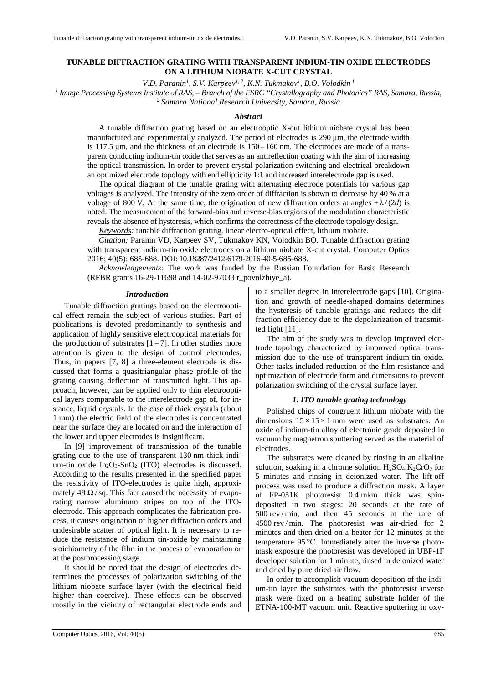## **TUNABLE DIFFRACTION GRATING WITH TRANSPARENT INDIUM-TIN OXIDE ELECTRODES ON A LITHIUM NIOBATE X-CUT CRYSTAL**

*V.D. Paranin<sup>1</sup> , S.V. Karpeev1, 2, K.N. Tukmakov<sup>1</sup> , B.O. Volodkin<sup>1</sup>*

*1 Image Processing Systems Institute оf RAS, – Branch of the FSRC "Crystallography and Photonics" RAS, Samara, Russia, 2 Samara National Research University, Samara, Russia* 

### *Abstract*

A tunable diffraction grating based on an electrooptic X-cut lithium niobate crystal has been manufactured and experimentally analyzed. The period of electrodes is 290 µm, the electrode width is 117.5 µm, and the thickness of an electrode is 150 – 160 nm. The electrodes are made of a transparent conducting indium-tin oxide that serves as an antireflection coating with the aim of increasing the optical transmission. In order to prevent crystal polarization switching and electrical breakdown an optimized electrode topology with end ellipticity 1:1 and increased interelectrode gap is used.

The optical diagram of the tunable grating with alternating electrode potentials for various gap voltages is analyzed. The intensity of the zero order of diffraction is shown to decrease by 40 % at a voltage of 800 V. At the same time, the origination of new diffraction orders at angles  $\pm \lambda/(2d)$  is noted. The measurement of the forward-bias and reverse-bias regions of the modulation characteristic reveals the absence of hysteresis, which confirms the correctness of the electrode topology design.

*Keywords:* tunable diffraction grating, linear electro-optical effect, lithium niobate.

*Citation:* Paranin VD, Karpeev SV, Tukmakov KN, Volodkin BO. Tunable diffraction grating with transparent indium-tin oxide electrodes on a lithium niobate X-cut crystal. Computer Optics 2016; 40(5): 685-688. DOI: 10.18287/2412-6179-2016-40-5-685-688.

*Acknowledgements:* The work was funded by the Russian Foundation for Basic Research (RFBR grants 16-29-11698 and 14-02-97033 r\_povolzhiye\_a).

### *Introduction*

Tunable diffraction gratings based on the electrooptical effect remain the subject of various studies. Part of publications is devoted predominantly to synthesis and application of highly sensitive electrooptical materials for the production of substrates  $[1 - 7]$ . In other studies more attention is given to the design of control electrodes. Thus, in papers [7, 8] a three-element electrode is discussed that forms a quasitriangular phase profile of the grating causing deflection of transmitted light. This approach, however, can be applied only to thin electrooptical layers comparable to the interelectrode gap of, for instance, liquid crystals. In the case of thick crystals (about 1 mm) the electric field of the electrodes is concentrated near the surface they are located on and the interaction of the lower and upper electrodes is insignificant.

In [9] improvement of transmission of the tunable grating due to the use of transparent 130 nm thick indium-tin oxide  $In_2O_3-SnO_2$  (ITO) electrodes is discussed. According to the results presented in the specified paper the resistivity of ITO-electrodes is quite high, approximately 48  $\Omega$ /sq. This fact caused the necessity of evaporating narrow aluminum stripes on top of the ITOelectrode. This approach complicates the fabrication process, it causes origination of higher diffraction orders and undesirable scatter of optical light. It is necessary to reduce the resistance of indium tin-oxide by maintaining stoichiometry of the film in the process of evaporation or at the postprocessing stage.

It should be noted that the design of electrodes determines the processes of polarization switching of the lithium niobate surface layer (with the electrical field higher than coercive). These effects can be observed mostly in the vicinity of rectangular electrode ends and

to a smaller degree in interelectrode gaps [10]. Origination and growth of needle-shaped domains determines the hysteresis of tunable gratings and reduces the diffraction efficiency due to the depolarization of transmitted light [11].

The aim of the study was to develop improved electrode topology characterized by improved optical transmission due to the use of transparent indium-tin oxide. Other tasks included reduction of the film resistance and optimization of electrode form and dimensions to prevent polarization switching of the crystal surface layer.

# *1. ITO tunable grating technology*

Polished chips of congruent lithium niobate with the dimensions  $15 \times 15 \times 1$  mm were used as substrates. An oxide of indium-tin alloy of electronic grade deposited in vacuum by magnetron sputtering served as the material of electrodes.

The substrates were cleaned by rinsing in an alkaline solution, soaking in a chrome solution  $H_2SO_4$ :  $K_2CrO_7$  for 5 minutes and rinsing in deionized water. The lift-off process was used to produce a diffraction mask. A layer of FP-051К photoresist 0.4 mkm thick was spindeposited in two stages: 20 seconds at the rate of 500 rev / min, and then 45 seconds at the rate of 4500 rev / min. The photoresist was air-dried for 2 minutes and then dried on a heater for 12 minutes at the temperature 95 °С. Immediately after the inverse photomask exposure the photoresist was developed in UBP-1F developer solution for 1 minute, rinsed in deionized water and dried by pure dried air flow.

In order to accomplish vacuum deposition of the indium-tin layer the substrates with the photoresist inverse mask were fixed on a heating substrate holder of the ETNA-100-МТ vacuum unit. Reactive sputtering in oxy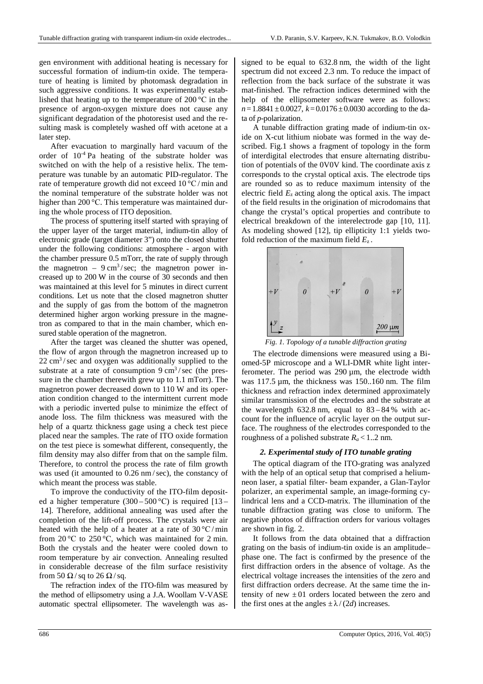gen environment with additional heating is necessary for successful formation of indium-tin oxide. The temperature of heating is limited by photomask degradation in such aggressive conditions. It was experimentally established that heating up to the temperature of 200 °С in the presence of argon-oxygen mixture does not cause any significant degradation of the photoresist used and the resulting mask is completely washed off with acetone at a later step.

After evacuation to marginally hard vacuum of the order of 10-4 Pa heating of the substrate holder was switched on with the help of a resistive helix. The temperature was tunable by an automatic PID-regulator. The rate of temperature growth did not exceed 10 °С/ min and the nominal temperature of the substrate holder was not higher than 200 °C. This temperature was maintained during the whole process of ITO deposition.

The process of sputtering itself started with spraying of the upper layer of the target material, indium-tin alloy of electronic grade (target diameter 3") onto the closed shutter under the following conditions: atmosphere - argon with the chamber pressure 0.5 mTorr, the rate of supply through the magnetron –  $9 \text{ cm}^3/\text{sec}$ ; the magnetron power increased up to 200 W in the course of 30 seconds and then was maintained at this level for 5 minutes in direct current conditions. Let us note that the closed magnetron shutter and the supply of gas from the bottom of the magnetron determined higher argon working pressure in the magnetron as compared to that in the main chamber, which ensured stable operation of the magnetron.

After the target was cleaned the shutter was opened, the flow of argon through the magnetron increased up to  $22 \text{ cm}^3/\text{sec}$  and oxygen was additionally supplied to the substrate at a rate of consumption  $9 \text{ cm}^3/\text{sec}$  (the pressure in the chamber therewith grew up to 1.1 mTorr). The magnetron power decreased down to 110 W and its operation condition changed to the intermittent current mode with a periodic inverted pulse to minimize the effect of anode loss. The film thickness was measured with the help of a quartz thickness gage using a check test piece placed near the samples. The rate of ITO oxide formation on the test piece is somewhat different, consequently, the film density may also differ from that on the sample film. Therefore, to control the process the rate of film growth was used (it amounted to  $0.26$  nm/sec), the constancy of which meant the process was stable.

To improve the conductivity of the ITO-film deposited a higher temperature  $(300 - 500 \degree C)$  is required  $[13 -$ 14]. Therefore, additional annealing was used after the completion of the lift-off process. The crystals were air heated with the help of a heater at a rate of  $30^{\circ}$ C/min from 20 °C to 250 °C, which was maintained for 2 min. Both the crystals and the heater were cooled down to room temperature by air convection. Annealing resulted in considerable decrease of the film surface resistivity from 50  $\Omega$ /sq to 26  $\Omega$ /sq.

The refraction index of the ITO-film was measured by the method of ellipsometry using a J.A. Woollam V-VASE automatic spectral ellipsometer. The wavelength was assigned to be equal to 632.8 nm, the width of the light spectrum did not exceed 2.3 nm. To reduce the impact of reflection from the back surface of the substrate it was mat-finished. The refraction indices determined with the help of the ellipsometer software were as follows:  $n=1.8841\pm0.0027$ ,  $k=0.0176\pm0.0030$  according to the data of *p*-polarization.

A tunable diffraction grating made of indium-tin oxide on X-cut lithium niobate was formed in the way described. Fig.1 shows a fragment of topology in the form of interdigital electrodes that ensure alternating distribution of potentials of the 0V0V kind. The coordinate axis z corresponds to the crystal optical axis. The electrode tips are rounded so as to reduce maximum intensity of the electric field *E*z acting along the optical axis. The impact of the field results in the origination of microdomains that change the crystal's optical properties and contribute to electrical breakdown of the interelectrode gap [10, 11]. As modeling showed [12], tip ellipticity 1:1 yields twofold reduction of the maximum field  $E_z$ .



*Fig. 1. Topology of a tunable diffraction grating* 

The electrode dimensions were measured using a Biomed-5P microscope and a WLI-DMR white light interferometer. The period was  $290 \mu m$ , the electrode width was 117.5 µm, the thickness was 150..160 nm. The film thickness and refraction index determined approximately similar transmission of the electrodes and the substrate at the wavelength  $632.8$  nm, equal to  $83 - 84$ % with account for the influence of acrylic layer on the output surface. The roughness of the electrodes corresponded to the roughness of a polished substrate  $R_a$  < 1..2 nm.

# *2. Experimental study of ITO tunable grating*

The optical diagram of the ITO-grating was analyzed with the help of an optical setup that comprised a heliumneon laser, a spatial filter- beam expander, a Glan-Taylor polarizer, an experimental sample, an image-forming cylindrical lens and a CCD-matrix. The illumination of the tunable diffraction grating was close to uniform. The negative photos of diffraction orders for various voltages are shown in fig. 2.

It follows from the data obtained that a diffraction grating on the basis of indium-tin oxide is an amplitude– phase one. The fact is confirmed by the presence of the first diffraction orders in the absence of voltage. As the electrical voltage increases the intensities of the zero and first diffraction orders decrease. At the same time the intensity of new  $\pm 01$  orders located between the zero and the first ones at the angles  $\pm \lambda/(2d)$  increases.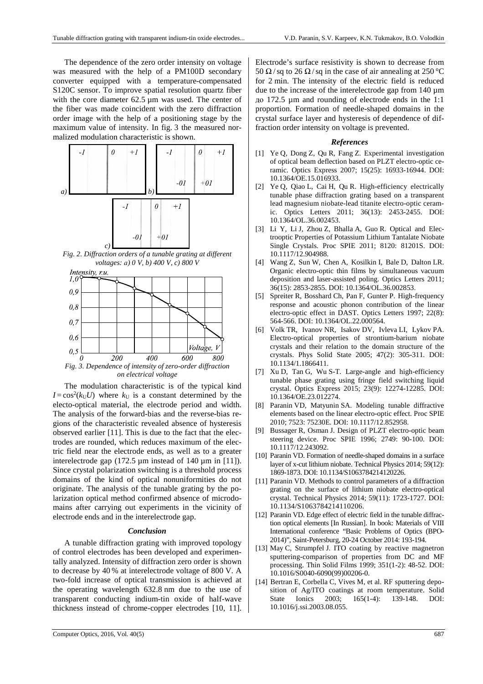The dependence of the zero order intensity on voltage was measured with the help of a PM100D secondary converter equipped with a temperature-compensated S120C sensor. To improve spatial resolution quartz fiber with the core diameter 62.5  $\mu$ m was used. The center of the fiber was made coincident with the zero diffraction order image with the help of a positioning stage by the maximum value of intensity. In fig. 3 the measured normalized modulation characteristic is shown.



*Fig. 2. Diffraction orders of a tunable grating at different voltages: а) 0 V, b) 400 V, c) 800 V* 



*on electrical voltage* 

The modulation characteristic is of the typical kind  $I = \cos^2(k_U U)$  where  $k_U$  is a constant determined by the electo-optical material, the electrode period and width. The analysis of the forward-bias and the reverse-bias regions of the characteristic revealed absence of hysteresis observed earlier [11]. This is due to the fact that the electrodes are rounded, which reduces maximum of the electric field near the electrode ends, as well as to a greater interelectrode gap  $(172.5 \mu m)$  instead of 140  $\mu$ m in [11]). Since crystal polarization switching is a threshold process domains of the kind of optical nonuniformities do not originate. The analysis of the tunable grating by the polarization optical method confirmed absence of microdomains after carrying out experiments in the vicinity of electrode ends and in the interelectrode gap.

## *Conclusion*

A tunable diffraction grating with improved topology of control electrodes has been developed and experimentally analyzed. Intensity of diffraction zero order is shown to decrease by 40 % at interelectrode voltage of 800 V. A two-fold increase of optical transmission is achieved at the operating wavelength 632.8 nm due to the use of transparent conducting indium-tin oxide of half-wave thickness instead of chrome-copper electrodes [10, 11].

### *References*

- [1] Ye Q, Dong Z, Qu R, Fang Z. Experimental investigation of optical beam deflection based on PLZT electro-optic ceramic. Optics Express 2007; 15(25): 16933-16944. DOI: 10.1364/OE.15.016933.
- [2] Ye Q, Qiao L, Cai H, Qu R. High-efficiency electrically tunable phase diffraction grating based on a transparent lead magnesium niobate-lead titanite electro-optic ceramic. Optics Letters 2011; 36(13): 2453-2455. DOI: 10.1364/OL.36.002453.
- [3] Li Y, Li J, Zhou Z, Bhalla A, Guo R. Optical and Electrooptic Properties of Potassium Lithium Tantalate Niobate Single Crystals. Proc SPIE 2011; 8120: 81201S. DOI: 10.1117/12.904988.
- [4] Wang Z, Sun W, Chen A, Kosilkin I, Bale D, Dalton LR. Organic electro-optic thin films by simultaneous vacuum deposition and laser-assisted poling. Optics Letters 2011; 36(15): 2853-2855. DOI: 10.1364/OL.36.002853.
- [5] Spreiter R, Bosshard Ch, Pan F, Gunter P. High-frequency response and acoustic phonon contribution of the linear electro-optic effect in DAST. Optics Letters 1997; 22(8): 564-566. DOI: 10.1364/OL.22.000564.
- [6] Volk TR, Ivanov NR, Isakov DV, Ivleva LI, Lykov PA. Electro-optical properties of strontium-barium niobate crystals and their relation to the domain structure of the crystals. Phys Solid State 2005; 47(2): 305-311. DOI: 10.1134/1.1866411.
- [7] Xu D, Tan G, Wu S-T. Large-angle and high-efficiency tunable phase grating using fringe field switching liquid crystal. Optics Express 2015; 23(9): 12274-12285. DOI: 10.1364/OE.23.012274.
- [8] Paranin VD, Matyunin SA. Modeling tunable diffractive elements based on the linear electro-optic effect. Proc SPIE 2010; 7523: 75230E. DOI: 10.1117/12.852958.
- [9] Bussager R, Osman J. Design of PLZT electro-optic beam steering device. Proc SPIE 1996; 2749: 90-100. DOI: 10.1117/12.243092.
- [10] Paranin VD. Formation of needle-shaped domains in a surface layer of x-cut lithium niobate. Technical Physics 2014; 59(12): 1869-1873. DOI: 10.1134/S1063784214120226.
- [11] Paranin VD. Methods to control parameters of a diffraction grating on the surface of lithium niobate electro-optical crystal. Technical Physics 2014; 59(11): 1723-1727. DOI: 10.1134/S1063784214110206.
- [12] Paranin VD. Edge effect of electric field in the tunable diffraction optical elements [In Russian]. In book: Materials of VIII International conference "Basic Problems of Optics (BPO-2014)", Saint-Petersburg, 20-24 October 2014: 193-194.
- [13] May C, Strumpfel J. ITO coating by reactive magnetron sputtering-comparison of properties from DC and MF processing. Thin Solid Films 1999; 351(1-2): 48-52. DOI: 10.1016/S0040-6090(99)00206-0.
- [14] Bertran E, Corbella C, Vives M, et al. RF sputtering deposition of Ag/ITO coatings at room temperature. Solid State Ionics 2003; 165(1-4): 139-148. DOI: 10.1016/j.ssi.2003.08.055.